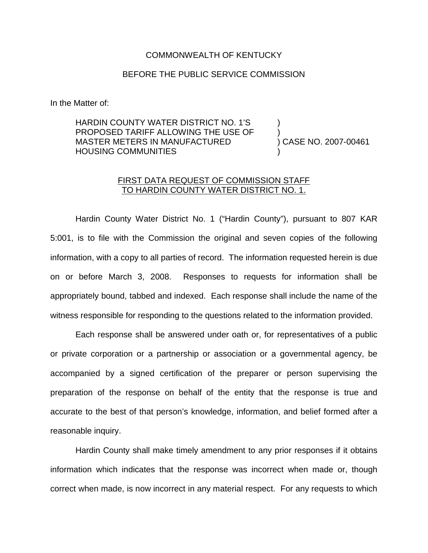## COMMONWEALTH OF KENTUCKY

## BEFORE THE PUBLIC SERVICE COMMISSION

In the Matter of:

HARDIN COUNTY WATER DISTRICT NO. 1'S PROPOSED TARIFF ALLOWING THE USE OF MASTER METERS IN MANUFACTURED HOUSING COMMUNITIES ) ) )

) CASE NO. 2007-00461

## FIRST DATA REQUEST OF COMMISSION STAFF TO HARDIN COUNTY WATER DISTRICT NO. 1.

Hardin County Water District No. 1 ("Hardin County"), pursuant to 807 KAR 5:001, is to file with the Commission the original and seven copies of the following information, with a copy to all parties of record. The information requested herein is due on or before March 3, 2008. Responses to requests for information shall be appropriately bound, tabbed and indexed. Each response shall include the name of the witness responsible for responding to the questions related to the information provided.

Each response shall be answered under oath or, for representatives of a public or private corporation or a partnership or association or a governmental agency, be accompanied by a signed certification of the preparer or person supervising the preparation of the response on behalf of the entity that the response is true and accurate to the best of that person's knowledge, information, and belief formed after a reasonable inquiry.

Hardin County shall make timely amendment to any prior responses if it obtains information which indicates that the response was incorrect when made or, though correct when made, is now incorrect in any material respect. For any requests to which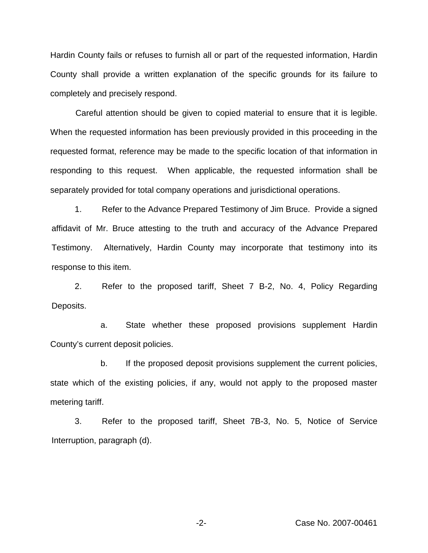Hardin County fails or refuses to furnish all or part of the requested information, Hardin County shall provide a written explanation of the specific grounds for its failure to completely and precisely respond.

Careful attention should be given to copied material to ensure that it is legible. When the requested information has been previously provided in this proceeding in the requested format, reference may be made to the specific location of that information in responding to this request. When applicable, the requested information shall be separately provided for total company operations and jurisdictional operations.

1. Refer to the Advance Prepared Testimony of Jim Bruce. Provide a signed affidavit of Mr. Bruce attesting to the truth and accuracy of the Advance Prepared Testimony. Alternatively, Hardin County may incorporate that testimony into its response to this item.

2. Refer to the proposed tariff, Sheet 7 B-2, No. 4, Policy Regarding Deposits.

a. State whether these proposed provisions supplement Hardin County's current deposit policies.

b. If the proposed deposit provisions supplement the current policies, state which of the existing policies, if any, would not apply to the proposed master metering tariff.

3. Refer to the proposed tariff, Sheet 7B-3, No. 5, Notice of Service Interruption, paragraph (d).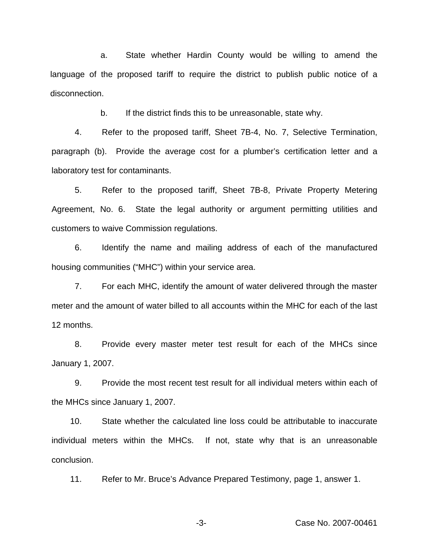a. State whether Hardin County would be willing to amend the language of the proposed tariff to require the district to publish public notice of a disconnection.

b. If the district finds this to be unreasonable, state why.

4. Refer to the proposed tariff, Sheet 7B-4, No. 7, Selective Termination, paragraph (b). Provide the average cost for a plumber's certification letter and a laboratory test for contaminants.

5. Refer to the proposed tariff, Sheet 7B-8, Private Property Metering Agreement, No. 6. State the legal authority or argument permitting utilities and customers to waive Commission regulations.

6. Identify the name and mailing address of each of the manufactured housing communities ("MHC") within your service area.

7. For each MHC, identify the amount of water delivered through the master meter and the amount of water billed to all accounts within the MHC for each of the last 12 months.

8. Provide every master meter test result for each of the MHCs since January 1, 2007.

9. Provide the most recent test result for all individual meters within each of the MHCs since January 1, 2007.

10. State whether the calculated line loss could be attributable to inaccurate individual meters within the MHCs. If not, state why that is an unreasonable conclusion.

11. Refer to Mr. Bruce's Advance Prepared Testimony, page 1, answer 1.

-3- Case No. 2007-00461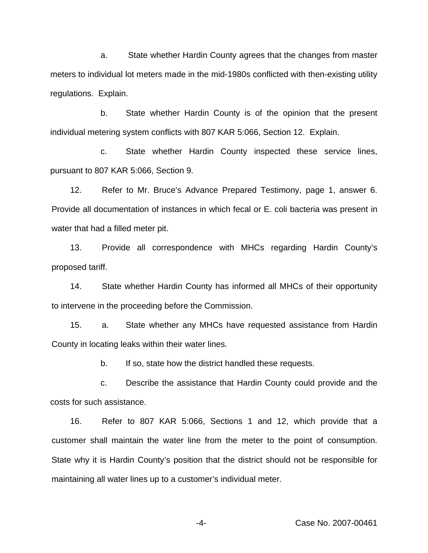a. State whether Hardin County agrees that the changes from master meters to individual lot meters made in the mid-1980s conflicted with then-existing utility regulations. Explain.

b. State whether Hardin County is of the opinion that the present individual metering system conflicts with 807 KAR 5:066, Section 12. Explain.

c. State whether Hardin County inspected these service lines, pursuant to 807 KAR 5:066, Section 9.

12. Refer to Mr. Bruce's Advance Prepared Testimony, page 1, answer 6. Provide all documentation of instances in which fecal or E. coli bacteria was present in water that had a filled meter pit.

13. Provide all correspondence with MHCs regarding Hardin County's proposed tariff.

14. State whether Hardin County has informed all MHCs of their opportunity to intervene in the proceeding before the Commission.

15. a. State whether any MHCs have requested assistance from Hardin County in locating leaks within their water lines.

b. If so, state how the district handled these requests.

c. Describe the assistance that Hardin County could provide and the costs for such assistance.

16. Refer to 807 KAR 5:066, Sections 1 and 12, which provide that a customer shall maintain the water line from the meter to the point of consumption. State why it is Hardin County's position that the district should not be responsible for maintaining all water lines up to a customer's individual meter.